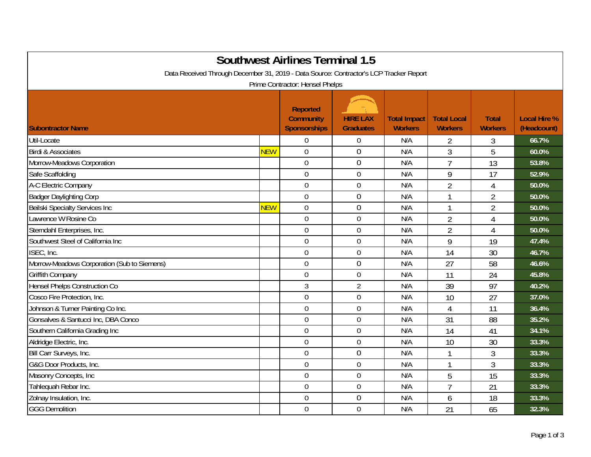| <b>Southwest Airlines Terminal 1.5</b><br>Data Received Through December 31, 2019 - Data Source: Contractor's LCP Tracker Report |            |                                                                                               |                                     |                                       |                                      |                                |                                    |  |
|----------------------------------------------------------------------------------------------------------------------------------|------------|-----------------------------------------------------------------------------------------------|-------------------------------------|---------------------------------------|--------------------------------------|--------------------------------|------------------------------------|--|
| <b>Subontractor Name</b>                                                                                                         |            | Prime Contractor: Hensel Phelps<br><b>Reported</b><br><b>Community</b><br><b>Sponsorships</b> | <b>HIRE LAX</b><br><b>Graduates</b> | <b>Total Impact</b><br><b>Workers</b> | <b>Total Local</b><br><b>Workers</b> | <b>Total</b><br><b>Workers</b> | <b>Local Hire %</b><br>(Headcount) |  |
| Util-Locate                                                                                                                      |            | $\mathbf 0$                                                                                   | $\boldsymbol{0}$                    | N/A                                   | 2                                    | 3                              | 66.7%                              |  |
| <b>Birdi &amp; Associates</b>                                                                                                    | <b>NEW</b> | $\overline{0}$                                                                                | $\overline{0}$                      | N/A                                   | $\overline{3}$                       | 5                              | 60.0%                              |  |
| Morrow-Meadows Corporation                                                                                                       |            | $\mathbf 0$                                                                                   | $\mathbf 0$                         | N/A                                   | $\overline{7}$                       | 13                             | 53.8%                              |  |
| Safe Scaffolding                                                                                                                 |            | $\overline{0}$                                                                                | $\mathbf 0$                         | N/A                                   | 9                                    | 17                             | 52.9%                              |  |
| A-C Electric Company                                                                                                             |            | $\mathbf 0$                                                                                   | $\mathbf 0$                         | N/A                                   | $\overline{2}$                       | $\overline{4}$                 | 50.0%                              |  |
| <b>Badger Daylighting Corp</b>                                                                                                   |            | $\overline{0}$                                                                                | $\mathbf 0$                         | N/A                                   | 1                                    | $\overline{2}$                 | 50.0%                              |  |
| <b>Beilski Specialty Services Inc</b>                                                                                            | <b>NEW</b> | $\mathbf 0$                                                                                   | $\boldsymbol{0}$                    | N/A                                   | 1                                    | $\overline{2}$                 | 50.0%                              |  |
| Lawrence W Rosine Co                                                                                                             |            | $\overline{0}$                                                                                | $\mathbf 0$                         | N/A                                   | $\overline{2}$                       | $\overline{4}$                 | 50.0%                              |  |
| Sterndahl Enterprises, Inc.                                                                                                      |            | $\mathbf 0$                                                                                   | $\mathbf 0$                         | N/A                                   | $\overline{2}$                       | $\overline{4}$                 | 50.0%                              |  |
| Southwest Steel of California Inc                                                                                                |            | $\overline{0}$                                                                                | $\mathbf 0$                         | N/A                                   | 9                                    | 19                             | 47.4%                              |  |
| ISEC, Inc.                                                                                                                       |            | $\mathbf 0$                                                                                   | $\mathbf 0$                         | N/A                                   | 14                                   | 30                             | 46.7%                              |  |
| Morrow-Meadows Corporation (Sub to Siemens)                                                                                      |            | $\overline{0}$                                                                                | 0                                   | N/A                                   | 27                                   | 58                             | 46.6%                              |  |
| Griffith Company                                                                                                                 |            | $\mathbf 0$                                                                                   | $\mathbf 0$                         | N/A                                   | 11                                   | 24                             | 45.8%                              |  |
| Hensel Phelps Construction Co                                                                                                    |            | $\mathfrak{Z}$                                                                                | $\overline{2}$                      | N/A                                   | 39                                   | 97                             | 40.2%                              |  |
| Cosco Fire Protection, Inc.                                                                                                      |            | $\mathbf 0$                                                                                   | $\boldsymbol{0}$                    | N/A                                   | 10                                   | 27                             | 37.0%                              |  |
| Johnson & Turner Painting Co Inc.                                                                                                |            | $\mathbf 0$                                                                                   | $\mathbf 0$                         | N/A                                   | $\overline{4}$                       | 11                             | 36.4%                              |  |
| Gonsalves & Santucci Inc, DBA Conco                                                                                              |            | $\mathbf 0$                                                                                   | $\mathbf 0$                         | N/A                                   | 31                                   | 88                             | 35.2%                              |  |
| Southern California Grading Inc                                                                                                  |            | $\mathbf 0$                                                                                   | $\mathbf 0$                         | N/A                                   | 14                                   | 41                             | 34.1%                              |  |
| Aldridge Electric, Inc.                                                                                                          |            | $\mathbf 0$                                                                                   | $\overline{0}$                      | N/A                                   | 10                                   | 30                             | 33.3%                              |  |
| Bill Carr Surveys, Inc.                                                                                                          |            | $\overline{0}$                                                                                | $\mathbf 0$                         | N/A                                   | 1                                    | 3                              | 33.3%                              |  |
| G&G Door Products, Inc.                                                                                                          |            | $\mathbf 0$                                                                                   | $\boldsymbol{0}$                    | N/A                                   | 1                                    | 3                              | 33.3%                              |  |
| Masonry Concepts, Inc                                                                                                            |            | $\mathbf 0$                                                                                   | $\mathbf 0$                         | N/A                                   | 5                                    | 15                             | 33.3%                              |  |
| Tahlequah Rebar Inc.                                                                                                             |            | $\mathbf 0$                                                                                   | $\mathbf 0$                         | N/A                                   | $\overline{1}$                       | 21                             | 33.3%                              |  |
| Zolnay Insulation, Inc.                                                                                                          |            | $\overline{0}$                                                                                | $\mathbf 0$                         | N/A                                   | 6                                    | 18                             | 33.3%                              |  |
| <b>GGG Demolition</b>                                                                                                            |            | $\mathbf 0$                                                                                   | $\mathbf 0$                         | N/A                                   | 21                                   | 65                             | 32.3%                              |  |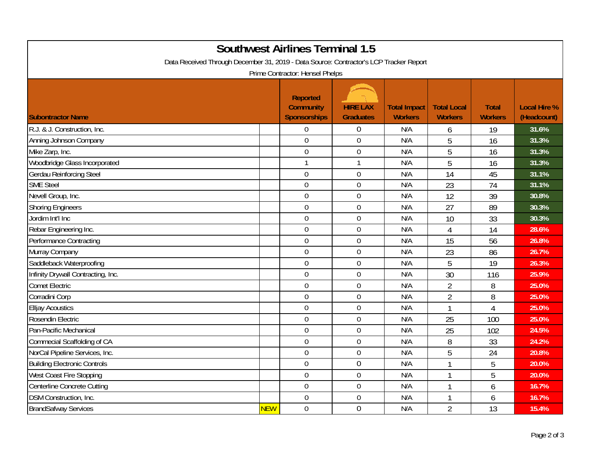| <b>Southwest Airlines Terminal 1.5</b><br>Data Received Through December 31, 2019 - Data Source: Contractor's LCP Tracker Report<br>Prime Contractor: Hensel Phelps |            |                                                     |                                     |                                       |                                      |                                |                                    |  |
|---------------------------------------------------------------------------------------------------------------------------------------------------------------------|------------|-----------------------------------------------------|-------------------------------------|---------------------------------------|--------------------------------------|--------------------------------|------------------------------------|--|
| <b>Subontractor Name</b>                                                                                                                                            |            | <b>Reported</b><br><b>Community</b><br>Sponsorships | <b>HIRE LAX</b><br><b>Graduates</b> | <b>Total Impact</b><br><b>Workers</b> | <b>Total Local</b><br><b>Workers</b> | <b>Total</b><br><b>Workers</b> | <b>Local Hire %</b><br>(Headcount) |  |
| R.J. & J. Construction, Inc.                                                                                                                                        |            | $\overline{0}$                                      | $\mathbf 0$                         | N/A                                   | 6                                    | 19                             | 31.6%                              |  |
| Anning Johnson Company                                                                                                                                              |            | $\overline{0}$                                      | $\boldsymbol{0}$                    | N/A                                   | 5                                    | 16                             | 31.3%                              |  |
| Mike Zarp, Inc.                                                                                                                                                     |            | $\mathbf 0$                                         | $\mathbf 0$                         | N/A                                   | 5                                    | 16                             | 31.3%                              |  |
| Woodbridge Glass Incorporated                                                                                                                                       |            |                                                     | $\mathbf{1}$                        | N/A                                   | 5                                    | 16                             | 31.3%                              |  |
| <b>Gerdau Reinforcing Steel</b>                                                                                                                                     |            | $\mathbf 0$                                         | $\overline{0}$                      | N/A                                   | 14                                   | 45                             | 31.1%                              |  |
| <b>SME Steel</b>                                                                                                                                                    |            | $\boldsymbol{0}$                                    | $\boldsymbol{0}$                    | N/A                                   | 23                                   | 74                             | 31.1%                              |  |
| Nevell Group, Inc.                                                                                                                                                  |            | $\mathbf 0$                                         | $\mathbf 0$                         | N/A                                   | 12                                   | 39                             | 30.8%                              |  |
| <b>Shoring Engineers</b>                                                                                                                                            |            | $\mathbf 0$                                         | $\mathbf 0$                         | N/A                                   | 27                                   | 89                             | 30.3%                              |  |
| Jordim Int'l Inc                                                                                                                                                    |            | $\overline{0}$                                      | $\mathbf 0$                         | N/A                                   | 10                                   | 33                             | 30.3%                              |  |
| Rebar Engineering Inc.                                                                                                                                              |            | $\mathbf 0$                                         | $\boldsymbol{0}$                    | N/A                                   | 4                                    | 14                             | 28.6%                              |  |
| Performance Contracting                                                                                                                                             |            | $\mathbf 0$                                         | $\boldsymbol{0}$                    | N/A                                   | 15                                   | 56                             | 26.8%                              |  |
| Murray Company                                                                                                                                                      |            | $\mathbf 0$                                         | $\boldsymbol{0}$                    | N/A                                   | 23                                   | 86                             | 26.7%                              |  |
| Saddleback Waterproofing                                                                                                                                            |            | $\mathbf 0$                                         | $\mathbf 0$                         | N/A                                   | 5                                    | 19                             | 26.3%                              |  |
| Infinity Drywall Contracting, Inc.                                                                                                                                  |            | $\overline{0}$                                      | $\mathbf 0$                         | N/A                                   | 30                                   | 116                            | 25.9%                              |  |
| <b>Comet Electric</b>                                                                                                                                               |            | $\overline{0}$                                      | $\boldsymbol{0}$                    | N/A                                   | $\overline{2}$                       | 8                              | 25.0%                              |  |
| Corradini Corp                                                                                                                                                      |            | $\overline{0}$                                      | $\mathbf 0$                         | N/A                                   | $\overline{2}$                       | 8                              | 25.0%                              |  |
| <b>Elljay Acoustics</b>                                                                                                                                             |            | $\mathbf 0$                                         | $\mathbf 0$                         | N/A                                   | 1                                    | $\overline{4}$                 | 25.0%                              |  |
| Rosendin Electric                                                                                                                                                   |            | $\mathbf 0$                                         | $\overline{0}$                      | N/A                                   | 25                                   | 100                            | 25.0%                              |  |
| Pan-Pacific Mechanical                                                                                                                                              |            | $\mathbf 0$                                         | $\boldsymbol{0}$                    | N/A                                   | 25                                   | 102                            | 24.5%                              |  |
| Commecial Scaffolding of CA                                                                                                                                         |            | $\mathbf 0$                                         | $\boldsymbol{0}$                    | N/A                                   | 8                                    | 33                             | 24.2%                              |  |
| NorCal Pipeline Services, Inc.                                                                                                                                      |            | $\mathbf 0$                                         | $\boldsymbol{0}$                    | N/A                                   | 5                                    | 24                             | 20.8%                              |  |
| <b>Building Electronic Controls</b>                                                                                                                                 |            | $\mathbf 0$                                         | $\mathbf 0$                         | N/A                                   | $\mathbf{1}$                         | 5                              | 20.0%                              |  |
| West Coast Fire Stopping                                                                                                                                            |            | $\mathbf 0$                                         | $\mathbf 0$                         | N/A                                   | 1                                    | 5                              | 20.0%                              |  |
| Centerline Concrete Cutting                                                                                                                                         |            | $\overline{0}$                                      | $\mathbf 0$                         | N/A                                   | 1                                    | 6                              | 16.7%                              |  |
| DSM Construction, Inc.                                                                                                                                              |            | $\mathbf 0$                                         | $\boldsymbol{0}$                    | N/A                                   |                                      | 6                              | 16.7%                              |  |
| <b>BrandSafway Services</b>                                                                                                                                         | <b>NEW</b> | $\mathbf 0$                                         | $\overline{0}$                      | N/A                                   | $\overline{2}$                       | 13                             | 15.4%                              |  |